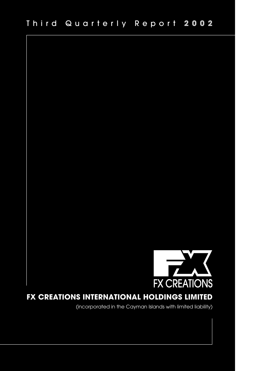

# **FX CREATIONS INTERNATIONAL HOLDINGS LIMITED**

(incorporated in the Cayman Islands with limited liability)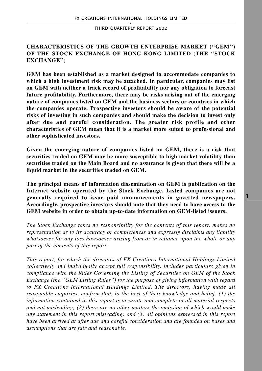# **CHARACTERISTICS OF THE GROWTH ENTERPRISE MARKET (''GEM'') OF THE STOCK EXCHANGE OF HONG KONG LIMITED (THE ''STOCK EXCHANGE'')**

**GEM has been established as a market designed to accommodate companies to which a high investment risk may be attached. In particular, companies may list on GEM with neither a track record of profitability nor any obligation to forecast future profitability. Furthermore, there may be risks arising out of the emerging nature of companies listed on GEM and the business sectors or countries in which the companies operate. Prospective investors should be aware of the potential risks of investing in such companies and should make the decision to invest only after due and careful consideration. The greater risk profile and other characteristics of GEM mean that it is a market more suited to professional and other sophisticated investors.**

**Given the emerging nature of companies listed on GEM, there is a risk that securities traded on GEM may be more susceptible to high market volatility than securities traded on the Main Board and no assurance is given that there will be a liquid market in the securities traded on GEM.**

**The principal means of information dissemination on GEM is publication on the Internet website operated by the Stock Exchange. Listed companies are not generally required to issue paid announcements in gazetted newspapers. Accordingly, prospective investors should note that they need to have access to the GEM website in order to obtain up-to-date information on GEM-listed issuers.**

*The Stock Exchange takes no responsibility for the contents of this report, makes no representation as to its accuracy or completeness and expressly disclaims any liability whatsoever for any loss howsoever arising from or in reliance upon the whole or any part of the contents of this report.*

*This report, for which the directors of FX Creations International Holdings Limited collectively and individually accept full responsibility, includes particulars given in compliance with the Rules Governing the Listing of Securities on GEM of the Stock Exchange (the ''GEM Listing Rules'') for the purpose of giving information with regard to FX Creations International Holdings Limited. The directors, having made all reasonable enquiries, confirm that, to the best of their knowledge and belief: (1) the information contained in this report is accurate and complete in all material respects and not misleading; (2) there are no other matters the omission of which would make any statement in this report misleading; and (3) all opinions expressed in this report have been arrived at after due and careful consideration and are founded on bases and assumptions that are fair and reasonable.*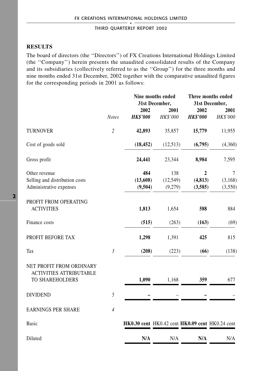# **RESULTS**

The board of directors (the ''Directors'') of FX Creations International Holdings Limited (the ''Company'') herein presents the unaudited consolidated results of the Company and its subsidiaries (collectively referred to as the ''Group'') for the three months and nine months ended 31st December, 2002 together with the comparative unaudited figures for the corresponding periods in 2001 as follows:

|                                                                                      |                | Nine months ended<br>31st December,             |           | Three months ended<br>31st December, |          |
|--------------------------------------------------------------------------------------|----------------|-------------------------------------------------|-----------|--------------------------------------|----------|
|                                                                                      |                | 2002                                            | 2001      | 2002                                 | 2001     |
|                                                                                      | <b>Notes</b>   | <b>HK\$'000</b>                                 | HK\$'000  | <b>HK\$'000</b>                      | HK\$'000 |
| <b>TURNOVER</b>                                                                      | $\overline{c}$ | 42,893                                          | 35,857    | 15,779                               | 11,955   |
| Cost of goods sold                                                                   |                | (18, 452)                                       | (12,513)  | (6,795)                              | (4,360)  |
| Gross profit                                                                         |                | 24,441                                          | 23,344    | 8,984                                | 7,595    |
| Other revenue                                                                        |                | 484                                             | 138       | $\overline{2}$                       | $\tau$   |
| Selling and distribution costs                                                       |                | (13,608)                                        | (12, 549) | (4, 813)                             | (3,168)  |
| Administrative expenses                                                              |                | (9,504)                                         | (9,279)   | (3,585)                              | (3,550)  |
| PROFIT FROM OPERATING<br><b>ACTIVITIES</b>                                           |                | 1,813                                           | 1,654     | 588                                  | 884      |
| Finance costs                                                                        |                | (515)                                           | (263)     | (163)                                | (69)     |
| PROFIT BEFORE TAX                                                                    |                | 1,298                                           | 1,391     | 425                                  | 815      |
| Tax                                                                                  | $\mathfrak{Z}$ | (208)                                           | (223)     | (66)                                 | (138)    |
| NET PROFIT FROM ORDINARY<br><b>ACTIVITIES ATTRIBUTABLE</b><br><b>TO SHAREHOLDERS</b> |                | 1,090                                           | 1,168     | 359                                  | 677      |
| <b>DIVIDEND</b>                                                                      | 5              |                                                 |           |                                      |          |
| <b>EARNINGS PER SHARE</b>                                                            | $\overline{4}$ |                                                 |           |                                      |          |
| <b>Basic</b>                                                                         |                | HK0.30 cent HK0.42 cent HK0.09 cent HK0.24 cent |           |                                      |          |
| Diluted                                                                              |                | N/A                                             | N/A       | N/A                                  | N/A      |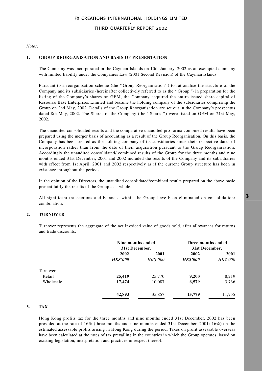*Notes:*

### **1. GROUP REORGANISATION AND BASIS OF PRESENTATION**

The Company was incorporated in the Cayman Islands on 10th January, 2002 as an exempted company with limited liability under the Companies Law (2001 Second Revision) of the Cayman Islands.

Pursuant to a reorganisation scheme (the ''Group Reorganisation'') to rationalise the structure of the Company and its subsidiaries (hereinafter collectively referred to as the ''Group'') in preparation for the listing of the Company's shares on GEM, the Company acquired the entire issued share capital of Resource Base Enterprises Limited and became the holding company of the subsidiaries comprising the Group on 2nd May, 2002. Details of the Group Reorganisation are set out in the Company's prospectus dated 8th May, 2002. The Shares of the Company (the ''Shares'') were listed on GEM on 21st May, 2002.

The unaudited consolidated results and the comparative unaudited pro forma combined results have been prepared using the merger basis of accounting as a result of the Group Reorganisation. On this basis, the Company has been treated as the holding company of its subsidiaries since their respective dates of incorporation rather than from the date of their acquisition pursuant to the Group Reorganisation. Accordingly the unaudited consolidated/ combined results of the Group for the three months and nine months ended 31st December, 2001 and 2002 included the results of the Company and its subsidiaries with effect from 1st April, 2001 and 2002 respectively as if the current Group structure has been in existence throughout the periods.

In the opinion of the Directors, the unaudited consolidated/combined results prepared on the above basic present fairly the results of the Group as a whole.

All significant transactions and balances within the Group have been eliminated on consolidation/ combination.

### **2. TURNOVER**

Turnover represents the aggregate of the net invoiced value of goods sold, after allowances for returns and trade discounts.

|           | Nine months ended<br>31st December, |                 | Three months ended<br>31st December, |                 |
|-----------|-------------------------------------|-----------------|--------------------------------------|-----------------|
|           | 2002                                | 2001            | 2002                                 | 2001            |
|           | <b>HK\$'000</b>                     | <b>HK\$'000</b> | <b>HK\$'000</b>                      | <b>HK\$'000</b> |
| Turnover  |                                     |                 |                                      |                 |
| Retail    | 25,419                              | 25,770          | 9,200                                | 8,219           |
| Wholesale | 17,474                              | 10,087          | 6,579                                | 3,736           |
|           | 42.893                              | 35,857          | 15.779                               | 11.955          |

### **3. TAX**

Hong Kong profits tax for the three months and nine months ended 31st December, 2002 has been provided at the rate of 16% (three months and nine months ended 31st December, 2001: 16%) on the estimated assessable profits arising in Hong Kong during the period. Taxes on profit assessable overseas have been calculated at the rates of tax prevailing in the countries in which the Group operates, based on existing legislation, interpretation and practices in respect thereof.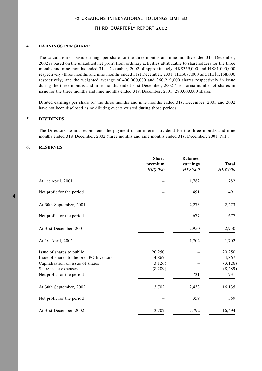### **4. EARNINGS PER SHARE**

The calculation of basic earnings per share for the three months and nine months ended 31st December, 2002 is based on the unaudited net profit from ordinary activities attributable to shareholders for the three months and nine months ended 31st December, 2002 of approximately HK\$359,000 and HK\$1,090,000 respectively (three months and nine months ended 31st December, 2001: HK\$677,000 and HK\$1,168,000 respectively) and the weighted average of 400,000,000 and 360,219,000 shares respectively in issue during the three months and nine months ended 31st December, 2002 (pro forma number of shares in issue for the three months and nine months ended 31st December, 2001: 280,000,000 shares).

Diluted earnings per share for the three months and nine months ended 31st December, 2001 and 2002 have not been disclosed as no diluting events existed during those periods.

#### **5. DIVIDENDS**

The Directors do not recommend the payment of an interim dividend for the three months and nine months ended 31st December, 2002 (three months and nine months ended 31st December, 2001: Nil).

#### **6. RESERVES**

|                                                                                        | <b>Share</b><br>premium<br><b>HK\$'000</b> | <b>Retained</b><br>earnings<br><b>HK\$'000</b> | <b>Total</b><br>HK\$'000    |
|----------------------------------------------------------------------------------------|--------------------------------------------|------------------------------------------------|-----------------------------|
| At 1st April, 2001                                                                     |                                            | 1,782                                          | 1,782                       |
| Net profit for the period                                                              |                                            | 491                                            | 491                         |
| At 30th September, 2001                                                                |                                            | 2,273                                          | 2,273                       |
| Net profit for the period                                                              |                                            | 677                                            | 677                         |
| At 31st December, 2001                                                                 |                                            | 2,950                                          | 2,950                       |
| At 1st April, 2002                                                                     |                                            | 1,702                                          | 1,702                       |
| Issue of shares to public<br>Issue of shares to the pre-IPO Investors                  | 20,250<br>4,867                            |                                                | 20,250<br>4,867             |
| Capitalisation on issue of shares<br>Share issue expenses<br>Net profit for the period | (3, 126)<br>(8, 289)                       | 731                                            | (3, 126)<br>(8, 289)<br>731 |
| At 30th September, 2002                                                                | 13,702                                     | 2,433                                          | 16,135                      |
| Net profit for the period                                                              |                                            | 359                                            | 359                         |
| At 31st December, 2002                                                                 | 13,702                                     | 2,792                                          | 16,494                      |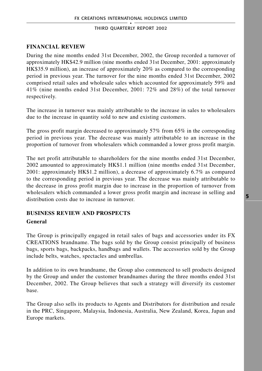# **FINANCIAL REVIEW**

During the nine months ended 31st December, 2002, the Group recorded a turnover of approximately HK\$42.9 million (nine months ended 31st December, 2001: approximately HK\$35.9 million), an increase of approximately 20% as compared to the corresponding period in previous year. The turnover for the nine months ended 31st December, 2002 comprised retail sales and wholesale sales which accounted for approximately 59% and 41% (nine months ended 31st December, 2001: 72% and 28%) of the total turnover respectively.

The increase in turnover was mainly attributable to the increase in sales to wholesalers due to the increase in quantity sold to new and existing customers.

The gross profit margin decreased to approximately 57% from 65% in the corresponding period in previous year. The decrease was mainly attributable to an increase in the proportion of turnover from wholesalers which commanded a lower gross profit margin.

The net profit attributable to shareholders for the nine months ended 31st December, 2002 amounted to approximately HK\$1.1 million (nine months ended 31st December, 2001: approximately HK\$1.2 million), a decrease of approximately 6.7% as compared to the corresponding period in previous year. The decrease was mainly attributable to the decrease in gross profit margin due to increase in the proportion of turnover from wholesalers which commanded a lower gross profit margin and increase in selling and distribution costs due to increase in turnover.

### **BUSINESS REVIEW AND PROSPECTS**

### **General**

The Group is principally engaged in retail sales of bags and accessories under its FX CREATIONS brandname. The bags sold by the Group consist principally of business bags, sports bags, backpacks, handbags and wallets. The accessories sold by the Group include belts, watches, spectacles and umbrellas.

In addition to its own brandname, the Group also commenced to sell products designed by the Group and under the customer brandnames during the three months ended 31st December, 2002. The Group believes that such a strategy will diversify its customer base.

The Group also sells its products to Agents and Distributors for distribution and resale in the PRC, Singapore, Malaysia, Indonesia, Australia, New Zealand, Korea, Japan and Europe markets.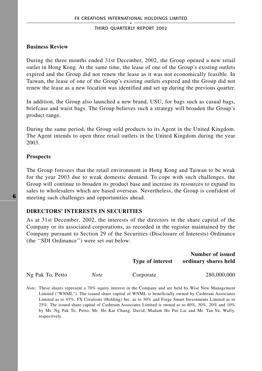### **Business Review**

During the three months ended 31st December, 2002, the Group opened a new retail outlet in Hong Kong. At the same time, the lease of one of the Group's existing outlets expired and the Group did not renew the lease as it was not economically feasible. In Taiwan, the lease of one of the Group's existing outlets expired and the Group did not renew the lease as a new location was identified and set up during the previous quarter.

In addition, the Group also launched a new brand, USU, for bags such as casual bags, briefcase and waist bags. The Group believes such a strategy will broaden the Group's product range.

During the same period, the Group sold products to its Agent in the United Kingdom. The Agent intends to open three retail outlets in the United Kingdom during the year 2003.

### **Prospects**

The Group foresees that the retail environment in Hong Kong and Taiwan to be weak for the year 2003 due to weak domestic demand. To cope with such challenges, the Group will continue to broaden its product base and increase its resources to expand its sales to wholesalers which are based overseas. Nevertheless, the Group is confident of meeting such challenges and opportunities ahead.

### **DIRECTORS' INTERESTS IN SECURITIES**

As at 31st December, 2002, the interests of the directors in the share capital of the Company or its associated corporations, as recorded in the register maintained by the Company pursuant to Section 29 of the Securities (Disclosure of Interests) Ordinance (the ''SDI Ordinance'') were set out below:

|                  |             | <b>Type of interest</b>                                                                               | Number of issued<br>ordinary shares held |  |
|------------------|-------------|-------------------------------------------------------------------------------------------------------|------------------------------------------|--|
| Ng Pak To, Petto | <b>Note</b> | Corporate                                                                                             | 280,000,000                              |  |
|                  |             | Nata: These shares represent a 70% equity interest in the Company and are held by Wise New Management |                                          |  |

*Note:* These shares represent a 70% equity interest in the Company and are held by Wise New Management Limited ("WNML"). The issued share capital of WNML is beneficially owned by Cashtram Associates Limited as to 45%, FX Creations (Holding) Inc. as to 30% and Forge Smart Investments Limited as to 25%. The issued share capital of Cashtram Associates Limited is owned as to 40%, 30%, 20% and 10% by Mr. Ng Pak To, Petto, Mr. Ho Kai Chung, David, Madam Ho Pui Lai and Mr. Tan Yu, Wally, respectively.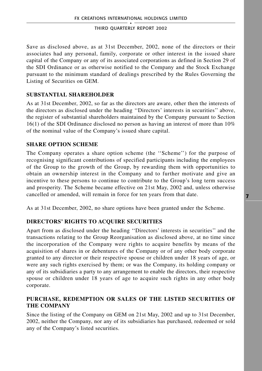Save as disclosed above, as at 31st December, 2002, none of the directors or their associates had any personal, family, corporate or other interest in the issued share capital of the Company or any of its associated corporations as defined in Section 29 of the SDI Ordinance or as otherwise notified to the Company and the Stock Exchange pursuant to the minimum standard of dealings prescribed by the Rules Governing the Listing of Securities on GEM.

## **SUBSTANTIAL SHAREHOLDER**

As at 31st December, 2002, so far as the directors are aware, other then the interests of the directors as disclosed under the heading ''Directors' interests in securities'' above, the register of substantial shareholders maintained by the Company pursuant to Section 16(1) of the SDI Ordinance disclosed no person as having an interest of more than 10% of the nominal value of the Company's issued share capital.

### **SHARE OPTION SCHEME**

The Company operates a share option scheme (the ''Scheme'') for the purpose of recognising significant contributions of specified participants including the employees of the Group to the growth of the Group, by rewarding them with opportunities to obtain an ownership interest in the Company and to further motivate and give an incentive to these persons to continue to contribute to the Group's long term success and prosperity. The Scheme became effective on 21st May, 2002 and, unless otherwise cancelled or amended, will remain in force for ten years from that date.

As at 31st December, 2002, no share options have been granted under the Scheme.

### **DIRECTORS' RIGHTS TO ACQUIRE SECURITIES**

Apart from as disclosed under the heading ''Directors' interests in securities'' and the transactions relating to the Group Reorganisation as disclosed above, at no time since the incorporation of the Company were rights to acquire benefits by means of the acquisition of shares in or debentures of the Company or of any other body corporate granted to any director or their respective spouse or children under 18 years of age, or were any such rights exercised by them; or was the Company, its holding company or any of its subsidiaries a party to any arrangement to enable the directors, their respective spouse or children under 18 years of age to acquire such rights in any other body corporate.

## **PURCHASE, REDEMPTION OR SALES OF THE LISTED SECURITIES OF THE COMPANY**

Since the listing of the Company on GEM on 21st May, 2002 and up to 31st December, 2002, neither the Company, nor any of its subsidiaries has purchased, redeemed or sold any of the Company's listed securities.